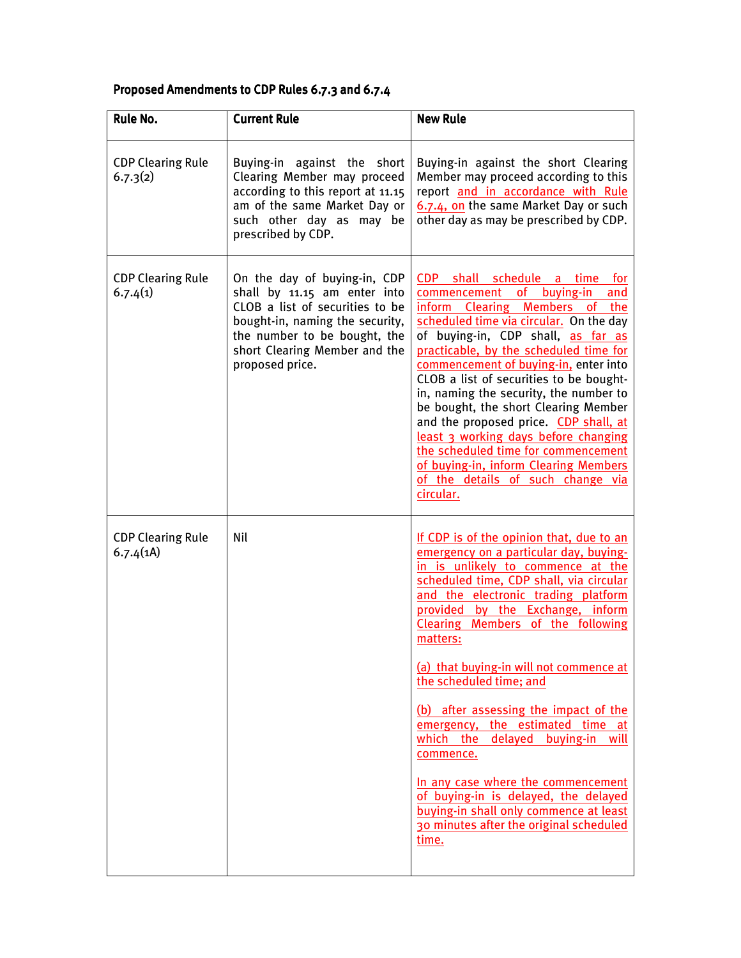## Proposed Amendments to CDP Rules 6.7.3 and 6.7.4

| <b>Rule No.</b>                      | <b>Current Rule</b>                                                                                                                                                                                                    | <b>New Rule</b>                                                                                                                                                                                                                                                                                                                                                                                                                                                                                                                                                                                                                                                                |
|--------------------------------------|------------------------------------------------------------------------------------------------------------------------------------------------------------------------------------------------------------------------|--------------------------------------------------------------------------------------------------------------------------------------------------------------------------------------------------------------------------------------------------------------------------------------------------------------------------------------------------------------------------------------------------------------------------------------------------------------------------------------------------------------------------------------------------------------------------------------------------------------------------------------------------------------------------------|
| <b>CDP Clearing Rule</b><br>6.7.3(2) | Buying-in against the short<br>Clearing Member may proceed<br>according to this report at 11.15<br>am of the same Market Day or<br>such other day as may be<br>prescribed by CDP.                                      | Buying-in against the short Clearing<br>Member may proceed according to this<br>report and in accordance with Rule<br>6.7.4, on the same Market Day or such<br>other day as may be prescribed by CDP.                                                                                                                                                                                                                                                                                                                                                                                                                                                                          |
| <b>CDP Clearing Rule</b><br>6.7.4(1) | On the day of buying-in, CDP<br>shall by 11.15 am enter into<br>CLOB a list of securities to be<br>bought-in, naming the security,<br>the number to be bought, the<br>short Clearing Member and the<br>proposed price. | CDP shall schedule a time for<br>commencement of buying-in<br>and<br>inform Clearing Members of the<br>scheduled time via circular. On the day<br>of buying-in, CDP shall, as far as<br>practicable, by the scheduled time for<br>commencement of buying-in, enter into<br>CLOB a list of securities to be bought-<br>in, naming the security, the number to<br>be bought, the short Clearing Member<br>and the proposed price. CDP shall, at<br>least 3 working days before changing<br>the scheduled time for commencement<br>of buying-in, inform Clearing Members<br>of the details of such change via<br>circular.                                                        |
| <b>CDP Clearing Rule</b><br>6.7.4(1) | Nil                                                                                                                                                                                                                    | If CDP is of the opinion that, due to an<br>emergency on a particular day, buying-<br>in is unlikely to commence at the<br>scheduled time, CDP shall, via circular<br>and the electronic trading platform<br>provided by the Exchange, inform<br>Clearing Members of the following<br>matters:<br>(a) that buying-in will not commence at<br>the scheduled time; and<br>(b) after assessing the impact of the<br>emergency, the estimated time at<br>which the delayed buying-in will<br>commence.<br>In any case where the commencement<br>of buying-in is delayed, the delayed<br>buying-in shall only commence at least<br>30 minutes after the original scheduled<br>time. |